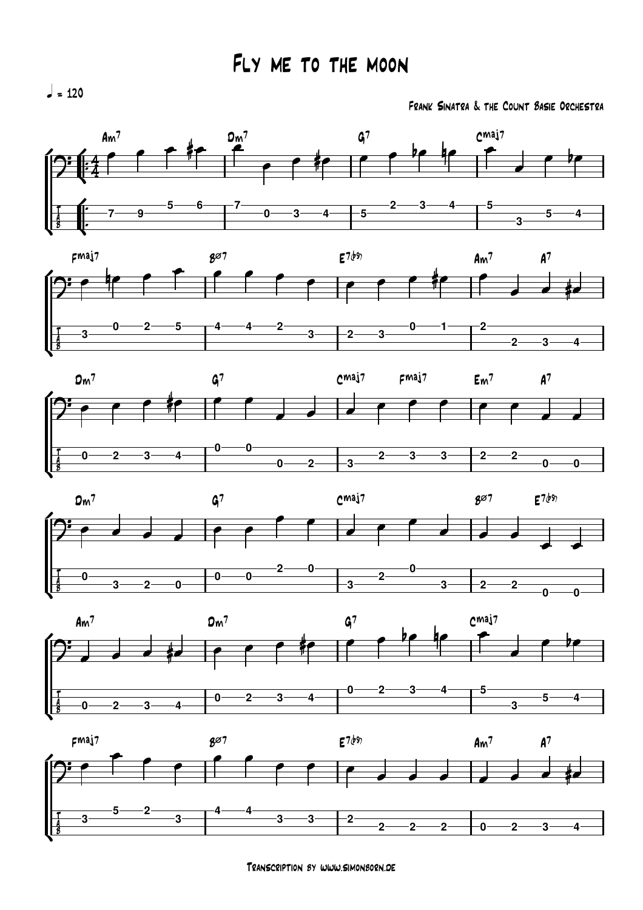Frank Sinatra & the Count Basie Orchestra













 $l = 120$ 

Transcription by www.simonborn.de